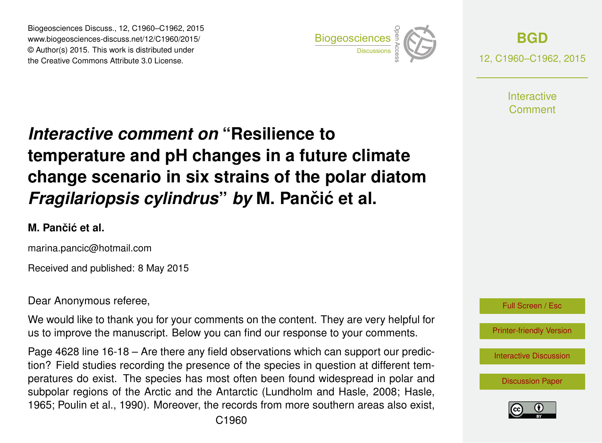Biogeosciences Discuss., 12, C1960–C1962, 2015 www.biogeosciences-discuss.net/12/C1960/2015/ © Author(s) 2015. This work is distributed under Biogeosciences Discuss., 12, C1960–C1962, 2015<br>
www.biogeosciences-discuss.net/12/C1960/2015/<br>
© Author(s) 2015. This work is distributed under<br>
the Creative Commons Attribute 3.0 License.



**[BGD](http://www.biogeosciences-discuss.net)** 12, C1960–C1962, 2015

> **Interactive** Comment

## *Interactive comment on* **"Resilience to temperature and pH changes in a future climate change scenario in six strains of the polar diatom** *Fragilariopsis cylindrus by* M. Pančić et al.

## **M. Panciˇ c et al. ´**

marina.pancic@hotmail.com

Received and published: 8 May 2015

Dear Anonymous referee,

We would like to thank you for your comments on the content. They are very helpful for us to improve the manuscript. Below you can find our response to your comments.

Page 4628 line 16-18 – Are there any field observations which can support our prediction? Field studies recording the presence of the species in question at different temperatures do exist. The species has most often been found widespread in polar and subpolar regions of the Arctic and the Antarctic (Lundholm and Hasle, 2008; Hasle, 1965; Poulin et al., 1990). Moreover, the records from more southern areas also exist,



[Interactive Discussion](http://www.biogeosciences-discuss.net/12/4627/2015/bgd-12-4627-2015-discussion.html)

[Discussion Paper](http://www.biogeosciences-discuss.net/12/4627/2015/bgd-12-4627-2015.pdf)

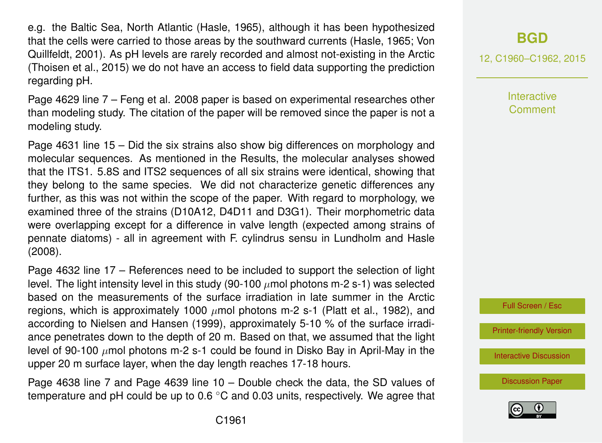e.g. the Baltic Sea, North Atlantic (Hasle, 1965), although it has been hypothesized that the cells were carried to those areas by the southward currents (Hasle, 1965; Von Quillfeldt, 2001). As pH levels are rarely recorded and almost not-existing in the Arctic (Thoisen et al., 2015) we do not have an access to field data supporting the prediction regarding pH.

Page 4629 line 7 – Feng et al. 2008 paper is based on experimental researches other than modeling study. The citation of the paper will be removed since the paper is not a modeling study.

Page 4631 line 15 – Did the six strains also show big differences on morphology and molecular sequences. As mentioned in the Results, the molecular analyses showed that the ITS1. 5.8S and ITS2 sequences of all six strains were identical, showing that they belong to the same species. We did not characterize genetic differences any further, as this was not within the scope of the paper. With regard to morphology, we examined three of the strains (D10A12, D4D11 and D3G1). Their morphometric data were overlapping except for a difference in valve length (expected among strains of pennate diatoms) - all in agreement with F. cylindrus sensu in Lundholm and Hasle (2008).

Page 4632 line 17 – References need to be included to support the selection of light level. The light intensity level in this study (90-100  $\mu$ mol photons m-2 s-1) was selected based on the measurements of the surface irradiation in late summer in the Arctic regions, which is approximately 1000  $\mu$ mol photons m-2 s-1 (Platt et al., 1982), and according to Nielsen and Hansen (1999), approximately 5-10 % of the surface irradiance penetrates down to the depth of 20 m. Based on that, we assumed that the light level of 90-100  $\mu$ mol photons m-2 s-1 could be found in Disko Bay in April-May in the upper 20 m surface layer, when the day length reaches 17-18 hours.

Page 4638 line 7 and Page 4639 line 10 – Double check the data, the SD values of temperature and pH could be up to 0.6 ℃ and 0.03 units, respectively. We agree that 12, C1960–C1962, 2015

**Interactive Comment** 



[Printer-friendly Version](http://www.biogeosciences-discuss.net/12/C1960/2015/bgd-12-C1960-2015-print.pdf)

[Interactive Discussion](http://www.biogeosciences-discuss.net/12/4627/2015/bgd-12-4627-2015-discussion.html)

[Discussion Paper](http://www.biogeosciences-discuss.net/12/4627/2015/bgd-12-4627-2015.pdf)